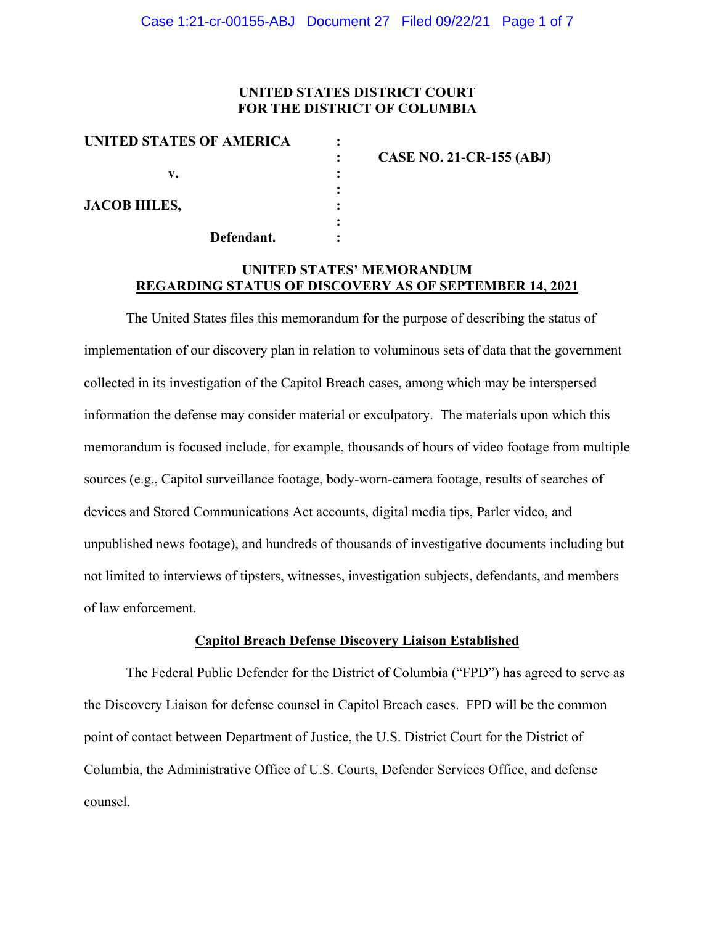## **UNITED STATES DISTRICT COURT FOR THE DISTRICT OF COLUMBIA**

| UNITED STATES OF AMERICA |                                 |
|--------------------------|---------------------------------|
|                          | <b>CASE NO. 21-CR-155 (ABJ)</b> |
| v.                       |                                 |
|                          |                                 |
| <b>JACOB HILES,</b>      |                                 |
|                          |                                 |
| Defendant.               |                                 |

# **UNITED STATES' MEMORANDUM REGARDING STATUS OF DISCOVERY AS OF SEPTEMBER 14, 2021**

The United States files this memorandum for the purpose of describing the status of implementation of our discovery plan in relation to voluminous sets of data that the government collected in its investigation of the Capitol Breach cases, among which may be interspersed information the defense may consider material or exculpatory. The materials upon which this memorandum is focused include, for example, thousands of hours of video footage from multiple sources (e.g., Capitol surveillance footage, body-worn-camera footage, results of searches of devices and Stored Communications Act accounts, digital media tips, Parler video, and unpublished news footage), and hundreds of thousands of investigative documents including but not limited to interviews of tipsters, witnesses, investigation subjects, defendants, and members of law enforcement.

#### **Capitol Breach Defense Discovery Liaison Established**

The Federal Public Defender for the District of Columbia ("FPD") has agreed to serve as the Discovery Liaison for defense counsel in Capitol Breach cases. FPD will be the common point of contact between Department of Justice, the U.S. District Court for the District of Columbia, the Administrative Office of U.S. Courts, Defender Services Office, and defense counsel.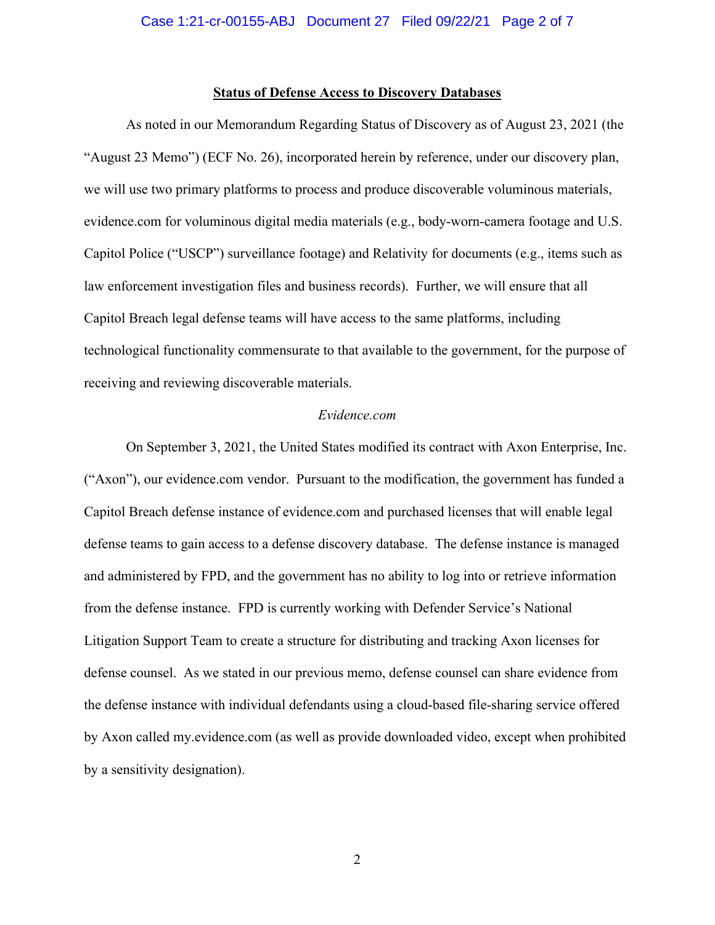### **Status of Defense Access to Discovery Databases**

As noted in our Memorandum Regarding Status of Discovery as of August 23, 2021 (the "August 23 Memo") (ECF No. 26), incorporated herein by reference, under our discovery plan, we will use two primary platforms to process and produce discoverable voluminous materials, evidence.com for voluminous digital media materials (e.g., body-worn-camera footage and U.S. Capitol Police ("USCP") surveillance footage) and Relativity for documents (e.g., items such as law enforcement investigation files and business records). Further, we will ensure that all Capitol Breach legal defense teams will have access to the same platforms, including technological functionality commensurate to that available to the government, for the purpose of receiving and reviewing discoverable materials.

#### *Evidence.com*

On September 3, 2021, the United States modified its contract with Axon Enterprise, Inc. ("Axon"), our evidence.com vendor. Pursuant to the modification, the government has funded a Capitol Breach defense instance of evidence.com and purchased licenses that will enable legal defense teams to gain access to a defense discovery database. The defense instance is managed and administered by FPD, and the government has no ability to log into or retrieve information from the defense instance. FPD is currently working with Defender Service's National Litigation Support Team to create a structure for distributing and tracking Axon licenses for defense counsel. As we stated in our previous memo, defense counsel can share evidence from the defense instance with individual defendants using a cloud-based file-sharing service offered by Axon called my.evidence.com (as well as provide downloaded video, except when prohibited by a sensitivity designation).

2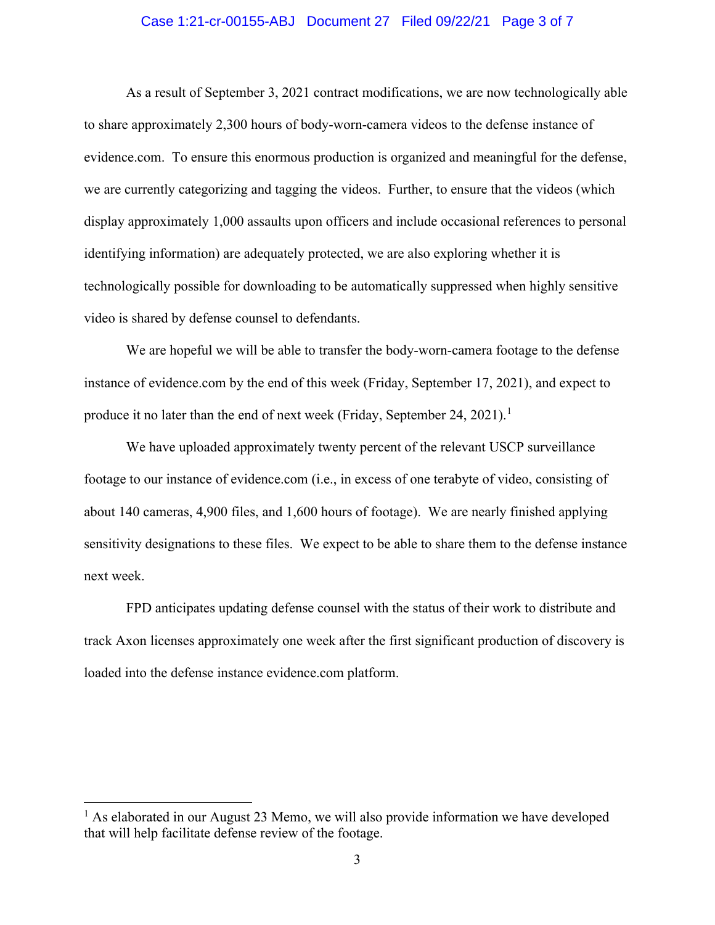### Case 1:21-cr-00155-ABJ Document 27 Filed 09/22/21 Page 3 of 7

As a result of September 3, 2021 contract modifications, we are now technologically able to share approximately 2,300 hours of body-worn-camera videos to the defense instance of evidence.com. To ensure this enormous production is organized and meaningful for the defense, we are currently categorizing and tagging the videos. Further, to ensure that the videos (which display approximately 1,000 assaults upon officers and include occasional references to personal identifying information) are adequately protected, we are also exploring whether it is technologically possible for downloading to be automatically suppressed when highly sensitive video is shared by defense counsel to defendants.

We are hopeful we will be able to transfer the body-worn-camera footage to the defense instance of evidence.com by the end of this week (Friday, September 17, 2021), and expect to produce it no later than the end of next week (Friday, September 24, 2021).<sup>1</sup>

We have uploaded approximately twenty percent of the relevant USCP surveillance footage to our instance of evidence.com (i.e., in excess of one terabyte of video, consisting of about 140 cameras, 4,900 files, and 1,600 hours of footage). We are nearly finished applying sensitivity designations to these files. We expect to be able to share them to the defense instance next week.

FPD anticipates updating defense counsel with the status of their work to distribute and track Axon licenses approximately one week after the first significant production of discovery is loaded into the defense instance evidence.com platform.

 $<sup>1</sup>$  As elaborated in our August 23 Memo, we will also provide information we have developed</sup> that will help facilitate defense review of the footage.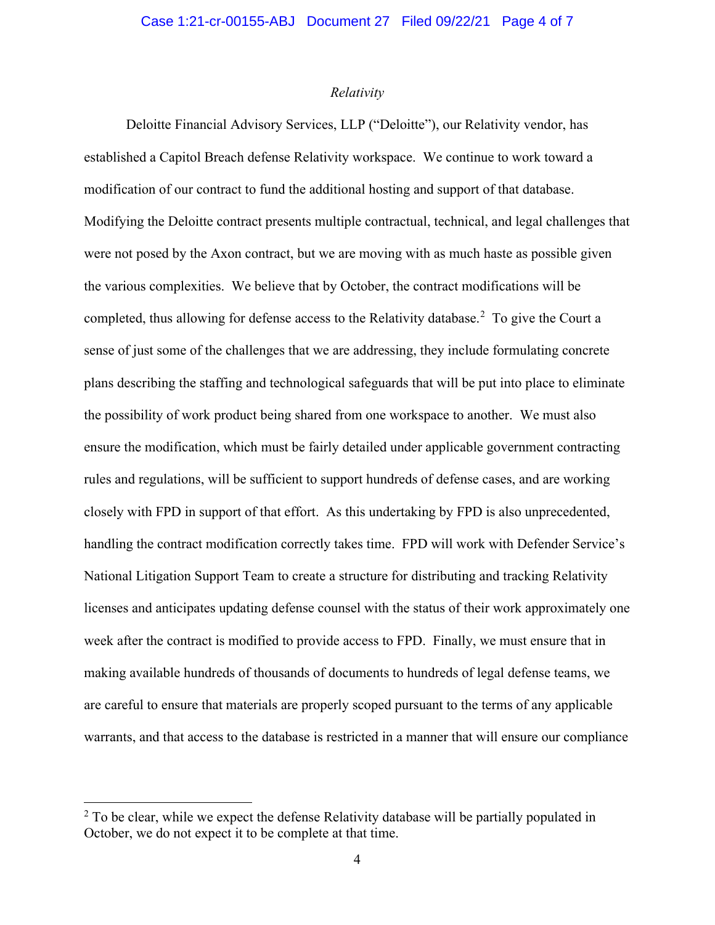### *Relativity*

Deloitte Financial Advisory Services, LLP ("Deloitte"), our Relativity vendor, has established a Capitol Breach defense Relativity workspace. We continue to work toward a modification of our contract to fund the additional hosting and support of that database. Modifying the Deloitte contract presents multiple contractual, technical, and legal challenges that were not posed by the Axon contract, but we are moving with as much haste as possible given the various complexities. We believe that by October, the contract modifications will be completed, thus allowing for defense access to the Relativity database.<sup>2</sup> To give the Court a sense of just some of the challenges that we are addressing, they include formulating concrete plans describing the staffing and technological safeguards that will be put into place to eliminate the possibility of work product being shared from one workspace to another. We must also ensure the modification, which must be fairly detailed under applicable government contracting rules and regulations, will be sufficient to support hundreds of defense cases, and are working closely with FPD in support of that effort. As this undertaking by FPD is also unprecedented, handling the contract modification correctly takes time. FPD will work with Defender Service's National Litigation Support Team to create a structure for distributing and tracking Relativity licenses and anticipates updating defense counsel with the status of their work approximately one week after the contract is modified to provide access to FPD. Finally, we must ensure that in making available hundreds of thousands of documents to hundreds of legal defense teams, we are careful to ensure that materials are properly scoped pursuant to the terms of any applicable warrants, and that access to the database is restricted in a manner that will ensure our compliance

 $2$  To be clear, while we expect the defense Relativity database will be partially populated in October, we do not expect it to be complete at that time.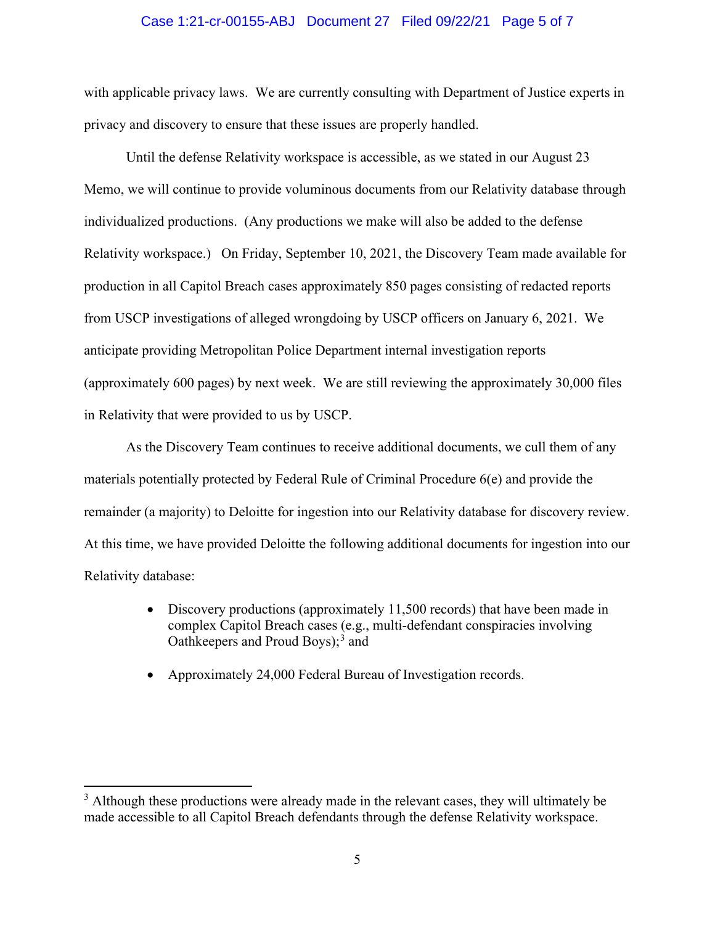#### Case 1:21-cr-00155-ABJ Document 27 Filed 09/22/21 Page 5 of 7

with applicable privacy laws. We are currently consulting with Department of Justice experts in privacy and discovery to ensure that these issues are properly handled.

Until the defense Relativity workspace is accessible, as we stated in our August 23 Memo, we will continue to provide voluminous documents from our Relativity database through individualized productions. (Any productions we make will also be added to the defense Relativity workspace.) On Friday, September 10, 2021, the Discovery Team made available for production in all Capitol Breach cases approximately 850 pages consisting of redacted reports from USCP investigations of alleged wrongdoing by USCP officers on January 6, 2021. We anticipate providing Metropolitan Police Department internal investigation reports (approximately 600 pages) by next week. We are still reviewing the approximately 30,000 files in Relativity that were provided to us by USCP.

As the Discovery Team continues to receive additional documents, we cull them of any materials potentially protected by Federal Rule of Criminal Procedure 6(e) and provide the remainder (a majority) to Deloitte for ingestion into our Relativity database for discovery review. At this time, we have provided Deloitte the following additional documents for ingestion into our Relativity database:

- Discovery productions (approximately 11,500 records) that have been made in complex Capitol Breach cases (e.g., multi-defendant conspiracies involving Oathkeepers and Proud Boys); <sup>3</sup> and
- Approximately 24,000 Federal Bureau of Investigation records.

<sup>&</sup>lt;sup>3</sup> Although these productions were already made in the relevant cases, they will ultimately be made accessible to all Capitol Breach defendants through the defense Relativity workspace.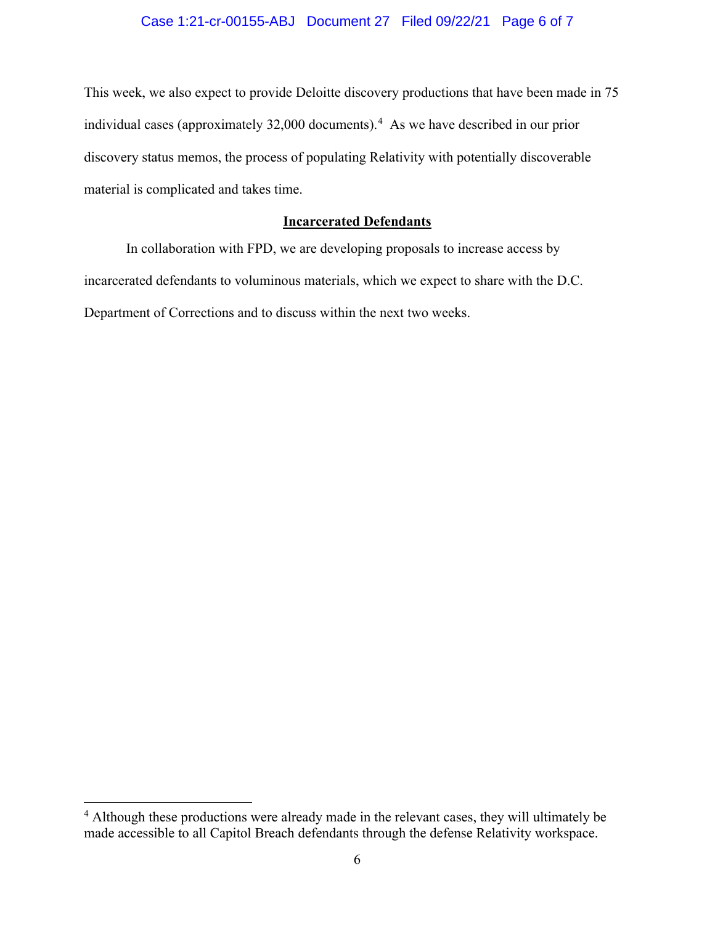# Case 1:21-cr-00155-ABJ Document 27 Filed 09/22/21 Page 6 of 7

This week, we also expect to provide Deloitte discovery productions that have been made in 75 individual cases (approximately 32,000 documents). 4 As we have described in our prior discovery status memos, the process of populating Relativity with potentially discoverable material is complicated and takes time.

# **Incarcerated Defendants**

In collaboration with FPD, we are developing proposals to increase access by incarcerated defendants to voluminous materials, which we expect to share with the D.C. Department of Corrections and to discuss within the next two weeks.

<sup>&</sup>lt;sup>4</sup> Although these productions were already made in the relevant cases, they will ultimately be made accessible to all Capitol Breach defendants through the defense Relativity workspace.